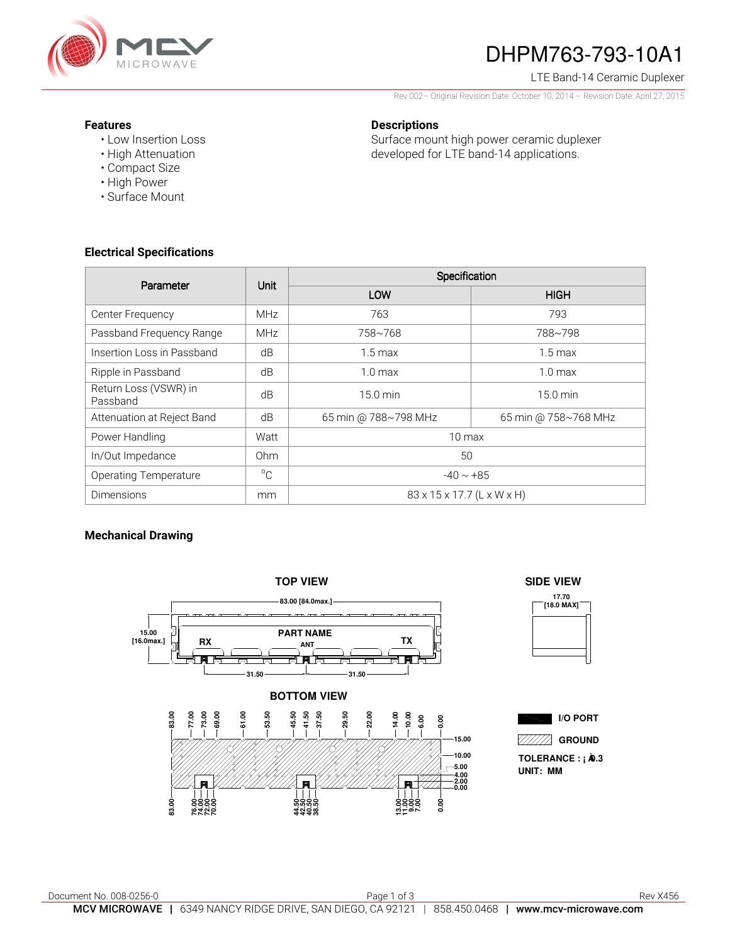

# DHPM763-793-10A1

### LTE Band-14 Ceramic Duplexer

Rev 002– Original Revision Date: October 10, 2014 – Revision Date: April 27, 2015

Surface mount high power ceramic duplexer developed for LTE band-14 applications.

### **Features**

- Low Insertion Loss
- High Attenuation
- Compact Size
- High Power
- Surface Mount

### **Electrical Specifications**

| Parameter                         | <b>Unit</b>  | Specification              |                      |
|-----------------------------------|--------------|----------------------------|----------------------|
|                                   |              | LOW                        | <b>HIGH</b>          |
| Center Frequency                  | <b>MHz</b>   | 763                        | 793                  |
| Passband Frequency Range          | <b>MHz</b>   | 758~768                    | 788~798              |
| Insertion Loss in Passband        | dB           | $1.5 \text{ max}$          | $1.5 \,\mathrm{max}$ |
| Ripple in Passband                | dB           | 1.0 <sub>max</sub>         | 1.0 <sub>max</sub>   |
| Return Loss (VSWR) in<br>Passband | dB           | $15.0 \text{ min}$         | $15.0 \text{ min}$   |
| Attenuation at Reject Band        | dB           | 65 min @ 788~798 MHz       | 65 min @ 758~768 MHz |
| Power Handling                    | Watt         | $10 \text{ max}$           |                      |
| In/Out Impedance                  | Ohm          | 50                         |                      |
| <b>Operating Temperature</b>      | $^{\circ}$ C | $-40 \sim +85$             |                      |
| <b>Dimensions</b>                 | mm           | 83 x 15 x 17.7 (L x W x H) |                      |

**Descriptions** 

### **Mechanical Drawing**







**I/O PORT** 

**GROUND**

**UNIT: MM** TOLERANCE : **; A**0.3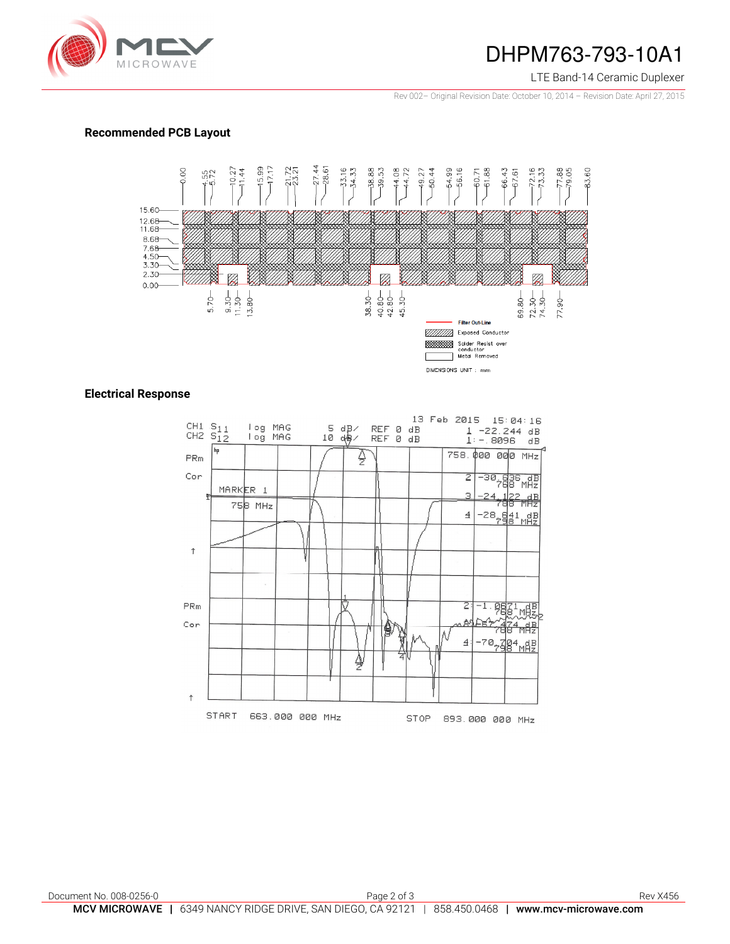

### DHPM763-793-10A1

### LTE Band-14 Ceramic Duplexer

Rev 002– Original Revision Date: October 10, 2014 – Revision Date: April 27, 2015

### **Recommended PCB Layout**



### **Electrical Response**